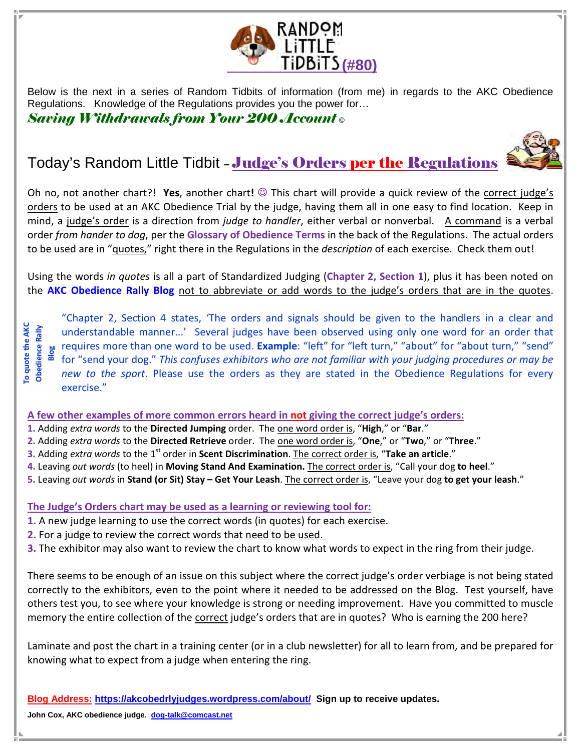

Below is the next in a series of Random Tidbits of information (from me) in regards to the AKC Obedience Regulations. Knowledge of the Regulations provides you the power for…

Saving Withdrawals from Your 200 Account **©** 



## Today's Random Little Tidbit - Judge's Orders per the Regulations

Oh no, not another chart?! Yes, another chart!  $\odot$  This chart will provide a quick review of the correct judge's orders to be used at an AKC Obedience Trial by the judge, having them all in one easy to find location. Keep in mind, a judge's order is a direction from *judge to handler*, either verbal or nonverbal. A command is a verbal order from hander to dog, per the Glossary of Obedience Terms in the back of the Regulations. The actual orders to be used are in "guotes," right there in the Regulations in the description of each exercise. Check them out!

Using the words in quotes is all a part of Standardized Judging (Chapter 2, Section 1), plus it has been noted on the AKC Obedience Rally Blog not to abbreviate or add words to the judge's orders that are in the quotes.

"Chapter 2, Section 4 states, 'The orders and signals should be given to the handlers in a clear and<br>  $\frac{12}{36}$  understandable manner...' Several judges have been observed using only one word for an order that<br>  $\frac{12}{3$  understandable manner...' Several judges have been observed using only one word for an order that ge requires more than one word to be used. Example: "left" for "left turn," "about" for "about turn," "send"<br>This confuses aubilities is the sentime of the sense of the sense of the sense of the sense of the sense of the s for "send your dog." This confuses exhibitors who are not familiar with your judging procedures or may be new to the sport. Please use the orders as they are stated in the Obedience Regulations for every exercise." **John Cox, AKC obedience judge. John Cox, AKC obedience judge. John Cox, AKC obedience Judge. John Cox, AKC obedience To ally Configured** Jundle 2. Adding *extra words* to the Directed Jumping of 2. Adding *extra wo* 

## A few other examples of more common errors heard in not giving the correct judge's orders:

- 1. Adding extra words to the Directed Jumping order. The one word order is, "High," or "Bar."
- 2. Adding extra words to the Directed Retrieve order. The one word order is, "One," or "Two," or "Three."
- 3. Adding extra words to the 1<sup>st</sup> order in Scent Discrimination. The correct order is, "Take an article."
- 4. Leaving out words (to heel) in Moving Stand And Examination. The correct order is, "Call your dog to heel."
- 5. Leaving out words in Stand (or Sit) Stay Get Your Leash. The correct order is, "Leave your dog to get your leash."

## The Judge's Orders chart may be used as a learning or reviewing tool for:

- 1. A new judge learning to use the correct words (in quotes) for each exercise.
- 2. For a judge to review the correct words that need to be used.
- 3. The exhibitor may also want to review the chart to know what words to expect in the ring from their judge.

There seems to be enough of an issue on this subject where the correct judge's order verbiage is not being stated correctly to the exhibitors, even to the point where it needed to be addressed on the Blog. Test yourself, have others test you, to see where your knowledge is strong or needing improvement. Have you committed to muscle memory the entire collection of the correct judge's orders that are in quotes? Who is earning the 200 here?

Laminate and post the chart in a training center (or in a club newsletter) for all to learn from, and be prepared for knowing what to expect from a judge when entering the ring.

**Blog Address: https://akcobedrlyjudges.wordpress.com/about/ Sign up to receive updates.**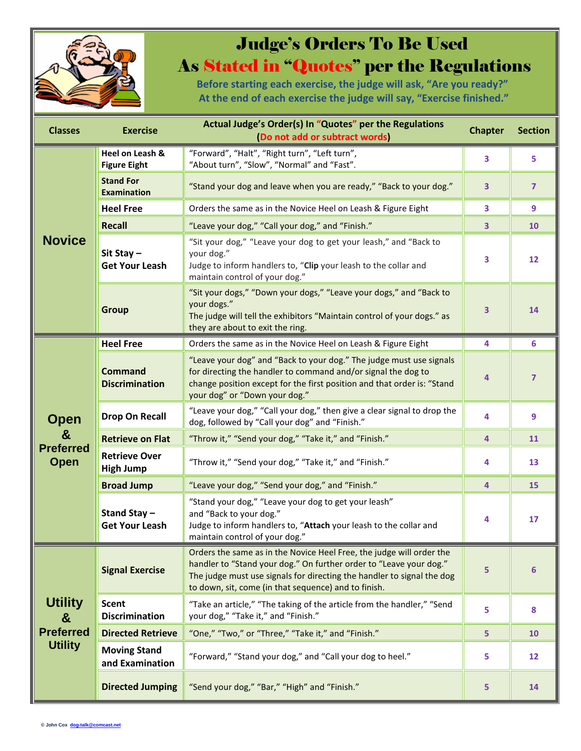

## Judge's Orders To Be Used As Stated in "Quotes" per the Regulations

Before starting each exercise, the judge will ask, "Are you ready?" At the end of each exercise the judge will say, "Exercise finished."

| <b>Classes</b>                                            | <b>Exercise</b>                          | Actual Judge's Order(s) In "Quotes" per the Regulations<br>(Do not add or subtract words)                                                                                                                                                                                    | <b>Chapter</b> | <b>Section</b> |
|-----------------------------------------------------------|------------------------------------------|------------------------------------------------------------------------------------------------------------------------------------------------------------------------------------------------------------------------------------------------------------------------------|----------------|----------------|
| <b>Novice</b>                                             | Heel on Leash &<br><b>Figure Eight</b>   | "Forward", "Halt", "Right turn", "Left turn",<br>"About turn", "Slow", "Normal" and "Fast".                                                                                                                                                                                  | 3              | 5              |
|                                                           | <b>Stand For</b><br><b>Examination</b>   | "Stand your dog and leave when you are ready," "Back to your dog."                                                                                                                                                                                                           | 3              | $\overline{7}$ |
|                                                           | <b>Heel Free</b>                         | Orders the same as in the Novice Heel on Leash & Figure Eight                                                                                                                                                                                                                | 3              | 9              |
|                                                           | <b>Recall</b>                            | "Leave your dog," "Call your dog," and "Finish."                                                                                                                                                                                                                             | 3              | 10             |
|                                                           | Sit Stay-<br><b>Get Your Leash</b>       | "Sit your dog," "Leave your dog to get your leash," and "Back to<br>your dog."<br>Judge to inform handlers to, "Clip your leash to the collar and<br>maintain control of your dog."                                                                                          | 3              | 12             |
|                                                           | <b>Group</b>                             | "Sit your dogs," "Down your dogs," "Leave your dogs," and "Back to<br>your dogs."<br>The judge will tell the exhibitors "Maintain control of your dogs." as<br>they are about to exit the ring.                                                                              | 3              | 14             |
| <b>Open</b><br>&<br><b>Preferred</b><br><b>Open</b>       | <b>Heel Free</b>                         | Orders the same as in the Novice Heel on Leash & Figure Eight                                                                                                                                                                                                                | 4              | 6              |
|                                                           | <b>Command</b><br><b>Discrimination</b>  | "Leave your dog" and "Back to your dog." The judge must use signals<br>for directing the handler to command and/or signal the dog to<br>change position except for the first position and that order is: "Stand<br>your dog" or "Down your dog."                             | 4              | $\overline{7}$ |
|                                                           | <b>Drop On Recall</b>                    | "Leave your dog," "Call your dog," then give a clear signal to drop the<br>dog, followed by "Call your dog" and "Finish."                                                                                                                                                    | $\overline{4}$ | 9 <sup>°</sup> |
|                                                           | <b>Retrieve on Flat</b>                  | "Throw it," "Send your dog," "Take it," and "Finish."                                                                                                                                                                                                                        | 4              | 11             |
|                                                           | <b>Retrieve Over</b><br><b>High Jump</b> | "Throw it," "Send your dog," "Take it," and "Finish."                                                                                                                                                                                                                        | 4              | 13             |
|                                                           | <b>Broad Jump</b>                        | "Leave your dog," "Send your dog," and "Finish."                                                                                                                                                                                                                             | $\overline{4}$ | 15             |
|                                                           | Stand Stay-<br><b>Get Your Leash</b>     | "Stand your dog," "Leave your dog to get your leash"<br>and "Back to your dog."<br>Judge to inform handlers to, "Attach your leash to the collar and<br>maintain control of your dog."                                                                                       | 4              | 17             |
| <b>Utility</b><br>&<br><b>Preferred</b><br><b>Utility</b> | <b>Signal Exercise</b>                   | Orders the same as in the Novice Heel Free, the judge will order the<br>handler to "Stand your dog." On further order to "Leave your dog."<br>The judge must use signals for directing the handler to signal the dog<br>to down, sit, come (in that sequence) and to finish. | 5              | 6              |
|                                                           | <b>Scent</b><br><b>Discrimination</b>    | "Take an article," "The taking of the article from the handler," "Send<br>your dog," "Take it," and "Finish."                                                                                                                                                                | 5              | 8              |
|                                                           | <b>Directed Retrieve</b>                 | "One," "Two," or "Three," "Take it," and "Finish."                                                                                                                                                                                                                           | 5              | <b>10</b>      |
|                                                           | <b>Moving Stand</b><br>and Examination   | "Forward," "Stand your dog," and "Call your dog to heel."                                                                                                                                                                                                                    | 5.             | 12             |
|                                                           | <b>Directed Jumping</b>                  | "Send your dog," "Bar," "High" and "Finish."                                                                                                                                                                                                                                 | 5              | 14             |